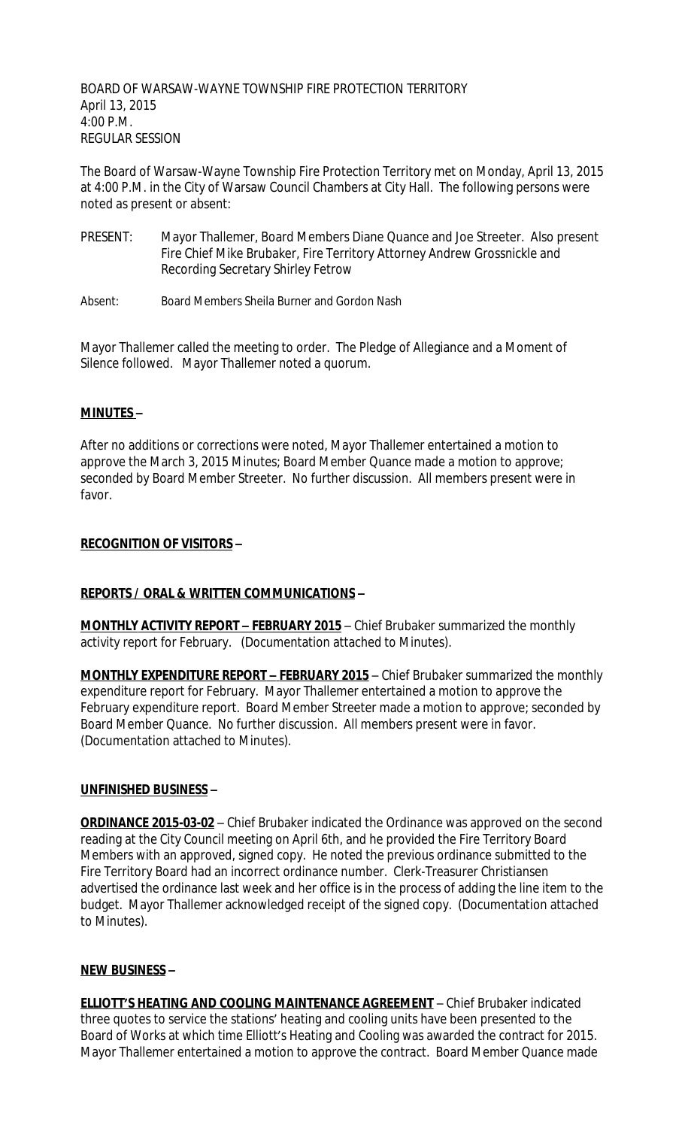BOARD OF WARSAW-WAYNE TOWNSHIP FIRE PROTECTION TERRITORY April 13, 2015 4:00 P.M. REGULAR SESSION

The Board of Warsaw-Wayne Township Fire Protection Territory met on Monday, April 13, 2015 at 4:00 P.M. in the City of Warsaw Council Chambers at City Hall. The following persons were noted as present or absent:

- PRESENT: Mayor Thallemer, Board Members Diane Quance and Joe Streeter. Also present Fire Chief Mike Brubaker, Fire Territory Attorney Andrew Grossnickle and Recording Secretary Shirley Fetrow
- Absent: Board Members Sheila Burner and Gordon Nash

Mayor Thallemer called the meeting to order. The Pledge of Allegiance and a Moment of Silence followed. Mayor Thallemer noted a quorum.

### **MINUTES –**

After no additions or corrections were noted, Mayor Thallemer entertained a motion to approve the March 3, 2015 Minutes; Board Member Quance made a motion to approve; seconded by Board Member Streeter. No further discussion. All members present were in favor.

## **RECOGNITION OF VISITORS –**

# **REPORTS / ORAL & WRITTEN COMMUNICATIONS –**

**MONTHLY ACTIVITY REPORT – FEBRUARY 2015** – Chief Brubaker summarized the monthly activity report for February. (Documentation attached to Minutes).

**MONTHLY EXPENDITURE REPORT – FEBRUARY 2015** – Chief Brubaker summarized the monthly expenditure report for February. Mayor Thallemer entertained a motion to approve the February expenditure report. Board Member Streeter made a motion to approve; seconded by Board Member Quance. No further discussion. All members present were in favor. (Documentation attached to Minutes).

### **UNFINISHED BUSINESS –**

**ORDINANCE 2015-03-02** – Chief Brubaker indicated the Ordinance was approved on the second reading at the City Council meeting on April 6th, and he provided the Fire Territory Board Members with an approved, signed copy. He noted the previous ordinance submitted to the Fire Territory Board had an incorrect ordinance number. Clerk-Treasurer Christiansen advertised the ordinance last week and her office is in the process of adding the line item to the budget. Mayor Thallemer acknowledged receipt of the signed copy. (Documentation attached to Minutes).

### **NEW BUSINESS –**

**ELLIOTT'S HEATING AND COOLING MAINTENANCE AGREEMENT** – Chief Brubaker indicated three quotes to service the stations' heating and cooling units have been presented to the Board of Works at which time Elliott's Heating and Cooling was awarded the contract for 2015. Mayor Thallemer entertained a motion to approve the contract. Board Member Quance made